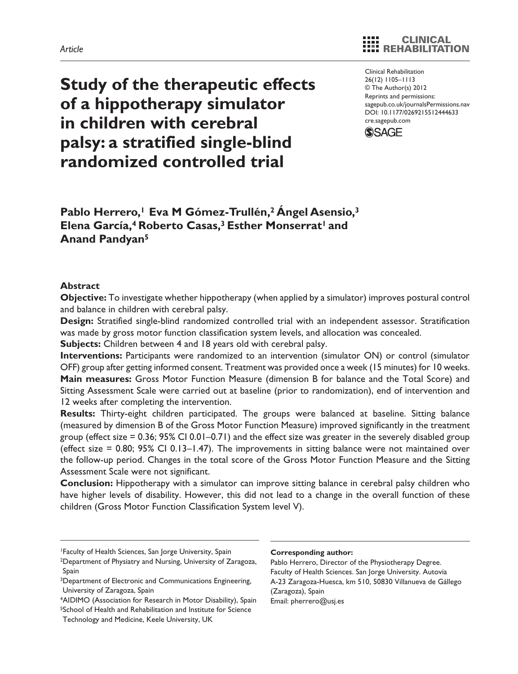**Study of the therapeutic effects of a hippotherapy simulator in children with cerebral palsy: a stratified single-blind randomized controlled trial** 

CLINICAL **HII REHABILITATION** 

Clinical Rehabilitation 26(12) 1105–1113 © The Author(s) 2012 Reprints and permissions: sagepub.co.uk/journalsPermissions.nav DOI: 10.1177/0269215512444633 cre.sagepub.com



Pablo Herrero,<sup>1</sup> Eva M Gómez-Trullén,<sup>2</sup> Ángel Asensio,<sup>3</sup> **Elena García,<sup>4</sup> Roberto Casas,<sup>3</sup> Esther Monserrat<sup>1</sup> and Anand Pandyan5** 

### **Abstract**

**Objective:** To investigate whether hippotherapy (when applied by a simulator) improves postural control and balance in children with cerebral palsy.

**Design:** Stratified single-blind randomized controlled trial with an independent assessor. Stratification was made by gross motor function classification system levels, and allocation was concealed.

**Subjects:** Children between 4 and 18 years old with cerebral palsy.

**Interventions:** Participants were randomized to an intervention (simulator ON) or control (simulator OFF) group after getting informed consent. Treatment was provided once a week (15 minutes) for 10 weeks. **Main measures:** Gross Motor Function Measure (dimension B for balance and the Total Score) and Sitting Assessment Scale were carried out at baseline (prior to randomization), end of intervention and 12 weeks after completing the intervention.

**Results:** Thirty-eight children participated. The groups were balanced at baseline. Sitting balance (measured by dimension B of the Gross Motor Function Measure) improved significantly in the treatment group (effect size = 0.36; 95% CI 0.01–0.71) and the effect size was greater in the severely disabled group (effect size = 0.80; 95% CI 0.13–1.47). The improvements in sitting balance were not maintained over the follow-up period. Changes in the total score of the Gross Motor Function Measure and the Sitting Assessment Scale were not significant.

**Conclusion:** Hippotherapy with a simulator can improve sitting balance in cerebral palsy children who have higher levels of disability. However, this did not lead to a change in the overall function of these children (Gross Motor Function Classification System level V).

#### **Corresponding author:**

Pablo Herrero, Director of the Physiotherapy Degree. Faculty of Health Sciences. San Jorge University. Autovía A-23 Zaragoza-Huesca, km 510, 50830 Villanueva de Gállego (Zaragoza), Spain Email: pherrero@usj.es

<sup>1</sup>Faculty of Health Sciences, San Jorge University, Spain 2Department of Physiatry and Nursing, University of Zaragoza, Spain

<sup>&</sup>lt;sup>3</sup>Department of Electronic and Communications Engineering, University of Zaragoza, Spain

<sup>4</sup>AIDIMO (Association for Research in Motor Disability), Spain <sup>5</sup>School of Health and Rehabilitation and Institute for Science

Technology and Medicine, Keele University, UK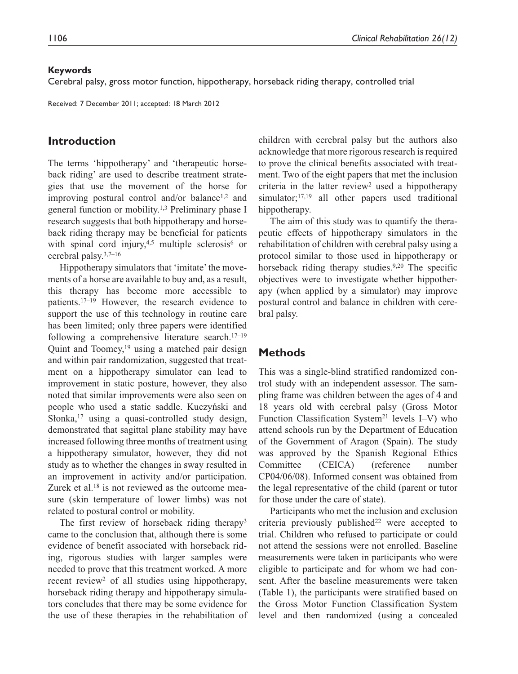#### **Keywords**

Cerebral palsy, gross motor function, hippotherapy, horseback riding therapy, controlled trial

Received: 7 December 2011; accepted: 18 March 2012

## **Introduction**

The terms 'hippotherapy' and 'therapeutic horseback riding' are used to describe treatment strategies that use the movement of the horse for improving postural control and/or balance<sup>1,2</sup> and general function or mobility.1,3 Preliminary phase I research suggests that both hippotherapy and horseback riding therapy may be beneficial for patients with spinal cord injury, $4,5$  multiple sclerosis<sup>6</sup> or cerebral palsy.3,7–16

Hippotherapy simulators that 'imitate' the movements of a horse are available to buy and, as a result, this therapy has become more accessible to patients.17–19 However, the research evidence to support the use of this technology in routine care has been limited; only three papers were identified following a comprehensive literature search.17–19 Quint and Toomey,<sup>19</sup> using a matched pair design and within pair randomization, suggested that treatment on a hippotherapy simulator can lead to improvement in static posture, however, they also noted that similar improvements were also seen on people who used a static saddle. Kuczyński and Słonka,<sup>17</sup> using a quasi-controlled study design, demonstrated that sagittal plane stability may have increased following three months of treatment using a hippotherapy simulator, however, they did not study as to whether the changes in sway resulted in an improvement in activity and/or participation. Zurek et al.18 is not reviewed as the outcome measure (skin temperature of lower limbs) was not related to postural control or mobility.

The first review of horseback riding therapy<sup>3</sup> came to the conclusion that, although there is some evidence of benefit associated with horseback riding, rigorous studies with larger samples were needed to prove that this treatment worked. A more recent review<sup>2</sup> of all studies using hippotherapy, horseback riding therapy and hippotherapy simulators concludes that there may be some evidence for the use of these therapies in the rehabilitation of children with cerebral palsy but the authors also acknowledge that more rigorous research is required to prove the clinical benefits associated with treatment. Two of the eight papers that met the inclusion criteria in the latter review<sup>2</sup> used a hippotherapy simulator:<sup>17,19</sup> all other papers used traditional hippotherapy.

The aim of this study was to quantify the therapeutic effects of hippotherapy simulators in the rehabilitation of children with cerebral palsy using a protocol similar to those used in hippotherapy or horseback riding therapy studies.<sup>9,20</sup> The specific objectives were to investigate whether hippotherapy (when applied by a simulator) may improve postural control and balance in children with cerebral palsy.

### **Methods**

This was a single-blind stratified randomized control study with an independent assessor. The sampling frame was children between the ages of 4 and 18 years old with cerebral palsy (Gross Motor Function Classification System<sup>21</sup> levels I–V) who attend schools run by the Department of Education of the Government of Aragon (Spain). The study was approved by the Spanish Regional Ethics Committee (CEICA) (reference number CP04/06/08). Informed consent was obtained from the legal representative of the child (parent or tutor for those under the care of state).

Participants who met the inclusion and exclusion criteria previously published<sup>22</sup> were accepted to trial. Children who refused to participate or could not attend the sessions were not enrolled. Baseline measurements were taken in participants who were eligible to participate and for whom we had consent. After the baseline measurements were taken (Table 1), the participants were stratified based on the Gross Motor Function Classification System level and then randomized (using a concealed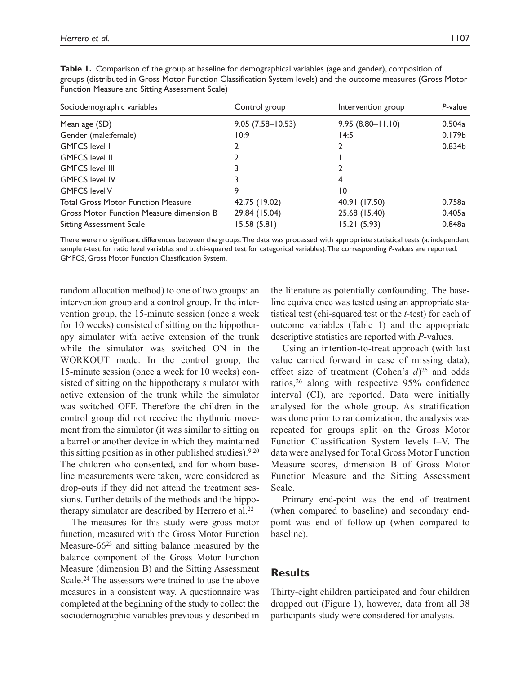| P-value<br>Intervention group  |
|--------------------------------|
|                                |
| $9.95(8.80 - 11.10)$<br>0.504a |
| 0.179b                         |
| 0.834b                         |
|                                |
|                                |
|                                |
|                                |
| 40.91 (17.50)<br>0.758a        |
| 25.68 (15.40)<br>0.405a        |
| 15.21 (5.93)<br>0.848a         |
|                                |

**Table 1.** Comparison of the group at baseline for demographical variables (age and gender), composition of groups (distributed in Gross Motor Function Classification System levels) and the outcome measures (Gross Motor Function Measure and Sitting Assessment Scale)

There were no significant differences between the groups. The data was processed with appropriate statistical tests (a: independent sample *t*-test for ratio level variables and b: chi-squared test for categorical variables). The corresponding *P*-values are reported. GMFCS, Gross Motor Function Classification System.

random allocation method) to one of two groups: an intervention group and a control group. In the intervention group, the 15-minute session (once a week for 10 weeks) consisted of sitting on the hippotherapy simulator with active extension of the trunk while the simulator was switched ON in the WORKOUT mode. In the control group, the 15-minute session (once a week for 10 weeks) consisted of sitting on the hippotherapy simulator with active extension of the trunk while the simulator was switched OFF. Therefore the children in the control group did not receive the rhythmic movement from the simulator (it was similar to sitting on a barrel or another device in which they maintained this sitting position as in other published studies).  $9,20$ The children who consented, and for whom baseline measurements were taken, were considered as drop-outs if they did not attend the treatment sessions. Further details of the methods and the hippotherapy simulator are described by Herrero et al.22

The measures for this study were gross motor function, measured with the Gross Motor Function Measure-6623 and sitting balance measured by the balance component of the Gross Motor Function Measure (dimension B) and the Sitting Assessment Scale.24 The assessors were trained to use the above measures in a consistent way. A questionnaire was completed at the beginning of the study to collect the sociodemographic variables previously described in

the literature as potentially confounding. The baseline equivalence was tested using an appropriate statistical test (chi-squared test or the *t*-test) for each of outcome variables (Table 1) and the appropriate descriptive statistics are reported with *P*-values.

Using an intention-to-treat approach (with last value carried forward in case of missing data), effect size of treatment (Cohen's  $d$ )<sup>25</sup> and odds ratios,26 along with respective 95% confidence interval (CI), are reported. Data were initially analysed for the whole group. As stratification was done prior to randomization, the analysis was repeated for groups split on the Gross Motor Function Classification System levels I–V. The data were analysed for Total Gross Motor Function Measure scores, dimension B of Gross Motor Function Measure and the Sitting Assessment Scale.

Primary end-point was the end of treatment (when compared to baseline) and secondary endpoint was end of follow-up (when compared to baseline).

# **Results**

Thirty-eight children participated and four children dropped out (Figure 1), however, data from all 38 participants study were considered for analysis.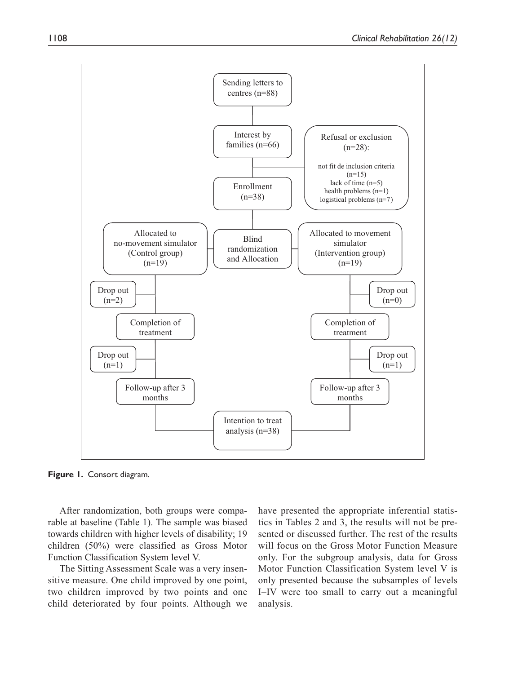

**Figure 1.** Consort diagram.

After randomization, both groups were comparable at baseline (Table 1). The sample was biased towards children with higher levels of disability; 19 children (50%) were classified as Gross Motor Function Classification System level V.

The Sitting Assessment Scale was a very insensitive measure. One child improved by one point, two children improved by two points and one child deteriorated by four points. Although we have presented the appropriate inferential statistics in Tables 2 and 3, the results will not be presented or discussed further. The rest of the results will focus on the Gross Motor Function Measure only. For the subgroup analysis, data for Gross Motor Function Classification System level V is only presented because the subsamples of levels I–IV were too small to carry out a meaningful analysis.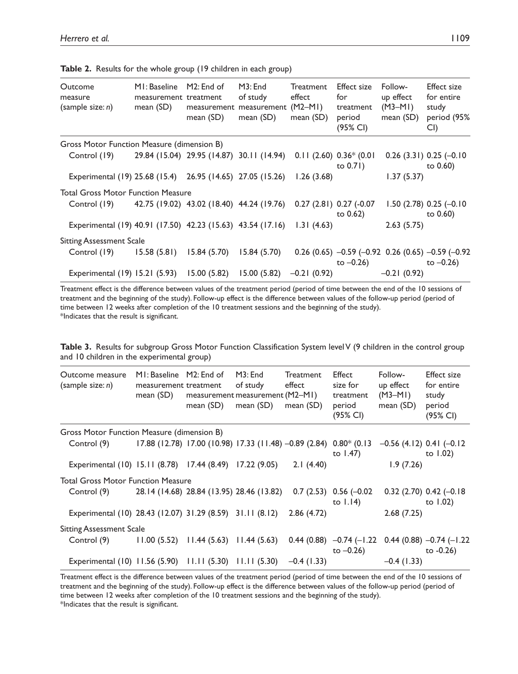| Outcome<br>measure<br>(sample size: n)                      | MI: Baseline<br>measurement treatment<br>mean $(SD)$ | M <sub>2</sub> : End of<br>mean $(SD)$                            | M3: End<br>of study<br>measurement measurement (M2-M1)<br>mean $(SD)$ | Treatment<br>effect<br>mean $(SD)$ | <b>Effect size</b><br>for<br>treatment<br>period<br>(95% CI) | Follow-<br>up effect<br>$(M3-MI)$<br>mean $(SD)$ | Effect size<br>for entire<br>study<br>period (95%<br>CI)          |
|-------------------------------------------------------------|------------------------------------------------------|-------------------------------------------------------------------|-----------------------------------------------------------------------|------------------------------------|--------------------------------------------------------------|--------------------------------------------------|-------------------------------------------------------------------|
| Gross Motor Function Measure (dimension B)                  |                                                      |                                                                   |                                                                       |                                    |                                                              |                                                  |                                                                   |
| Control (19)                                                |                                                      | 29.84 (15.04) 29.95 (14.87) 30.11 (14.94) 0.11 (2.60) 0.36* (0.01 |                                                                       |                                    | to 0.71)                                                     |                                                  | $0.26$ (3.31) $0.25$ (-0.10<br>to 0.60)                           |
| Experimental (19) 25.68 (15.4) 26.95 (14.65) 27.05 (15.26)  |                                                      |                                                                   |                                                                       | 1.26(3.68)                         |                                                              | 1.37(5.37)                                       |                                                                   |
| <b>Total Gross Motor Function Measure</b>                   |                                                      |                                                                   |                                                                       |                                    |                                                              |                                                  |                                                                   |
| Control (19)                                                |                                                      | 42.75 (19.02) 43.02 (18.40) 44.24 (19.76)                         |                                                                       | $0.27(2.81)0.27(-0.07)$            | to 0.62)                                                     |                                                  | $1.50(2.78) 0.25(-0.10)$<br>to 0.60)                              |
| Experimental (19) 40.91 (17.50) 42.23 (15.63) 43.54 (17.16) |                                                      |                                                                   |                                                                       | 1.31(4.63)                         |                                                              | 2.63(5.75)                                       |                                                                   |
| <b>Sitting Assessment Scale</b>                             |                                                      |                                                                   |                                                                       |                                    |                                                              |                                                  |                                                                   |
| Control (19)                                                | $15.58(5.81)$ $15.84(5.70)$                          |                                                                   | 15.84(5.70)                                                           |                                    | to $-0.26$ )                                                 |                                                  | $0.26(0.65) -0.59(-0.92) 0.26(0.65) -0.59(-0.92)$<br>to $-0.26$ ) |
| Experimental (19) 15.21 (5.93) 15.00 (5.82)                 |                                                      |                                                                   | 15.00(5.82)                                                           | $-0.21(0.92)$                      |                                                              | $-0.21(0.92)$                                    |                                                                   |

**Table 2.** Results for the whole group (19 children in each group)

Treatment effect is the difference between values of the treatment period (period of time between the end of the 10 sessions of treatment and the beginning of the study). Follow-up effect is the difference between values of the follow-up period (period of time between 12 weeks after completion of the 10 treatment sessions and the beginning of the study). \*Indicates that the result is significant.

**Table 3.** Results for subgroup Gross Motor Function Classification System level V (9 children in the control group and 10 children in the experimental group)

| Outcome measure<br>(sample size: n)                       | MI: Baseline M2: End of<br>measurement treatment<br>mean $(SD)$ | mean $(SD)$ | M3: End<br>of study<br>measurement measurement (M2-M1)<br>mean $(SD)$ | <b>Treatment</b><br>effect<br>mean $(SD)$ | Effect<br>size for<br>treatment<br>period<br>(95% CI) | Follow-<br>up effect<br>$(M3-MI)$<br>mean $(SD)$ | <b>Effect size</b><br>for entire<br>study<br>period<br>(95% CI) |  |  |  |
|-----------------------------------------------------------|-----------------------------------------------------------------|-------------|-----------------------------------------------------------------------|-------------------------------------------|-------------------------------------------------------|--------------------------------------------------|-----------------------------------------------------------------|--|--|--|
| Gross Motor Function Measure (dimension B)                |                                                                 |             |                                                                       |                                           |                                                       |                                                  |                                                                 |  |  |  |
| Control (9)                                               |                                                                 |             | $17.88$ (12.78) 17.00 (10.98) 17.33 (11.48) -0.89 (2.84) 0.80* (0.13  |                                           | to $1.47$ )                                           | $-0.56$ (4.12) 0.41 (-0.12)                      | to $1.02$ )                                                     |  |  |  |
| Experimental (10) 15.11 (8.78) 17.44 (8.49)               |                                                                 |             | 17.22(9.05)                                                           | 2.1(4.40)                                 |                                                       | 1.9(7.26)                                        |                                                                 |  |  |  |
| Total Gross Motor Function Measure                        |                                                                 |             |                                                                       |                                           |                                                       |                                                  |                                                                 |  |  |  |
| Control (9)                                               | 28.14 (14.68) 28.84 (13.95) 28.46 (13.82)                       |             |                                                                       |                                           | $0.7(2.53)$ $0.56(-0.02)$<br>to $1.14$ )              |                                                  | $0.32$ (2.70) $0.42$ (-0.18<br>to $1.02$ )                      |  |  |  |
| Experimental (10) 28.43 (12.07) 31.29 (8.59) 31.11 (8.12) |                                                                 |             |                                                                       | 2.86(4.72)                                |                                                       | 2.68(7.25)                                       |                                                                 |  |  |  |
| <b>Sitting Assessment Scale</b>                           |                                                                 |             |                                                                       |                                           |                                                       |                                                  |                                                                 |  |  |  |
| Control (9)                                               |                                                                 |             | $11.00(5.52)$ $11.44(5.63)$ $11.44(5.63)$                             |                                           | $0.44(0.88) -0.74(-1.22)$<br>to $-0.26$ )             |                                                  | $0.44(0.88) -0.74(-1.22)$<br>to $-0.26$ )                       |  |  |  |
| Experimental (10) 11.56 (5.90) 11.11 (5.30) 11.11 (5.30)  |                                                                 |             |                                                                       | $-0.4(1.33)$                              |                                                       | $-0.4(1.33)$                                     |                                                                 |  |  |  |

Treatment effect is the difference between values of the treatment period (period of time between the end of the 10 sessions of treatment and the beginning of the study). Follow-up effect is the difference between values of the follow-up period (period of time between 12 weeks after completion of the 10 treatment sessions and the beginning of the study). \*Indicates that the result is significant.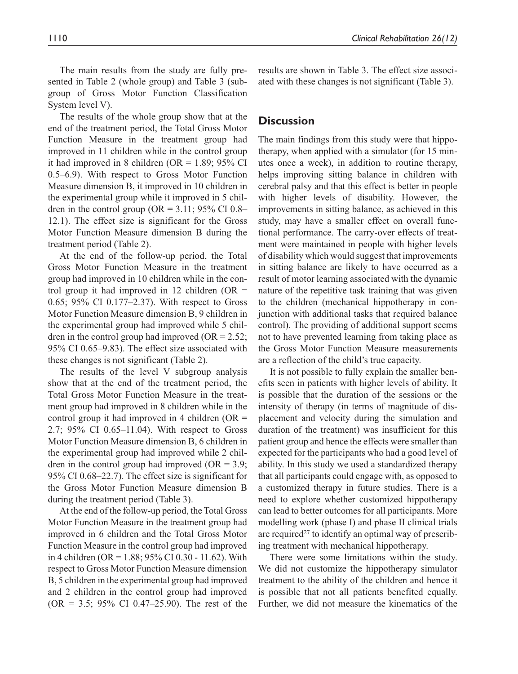The main results from the study are fully presented in Table 2 (whole group) and Table 3 (subgroup of Gross Motor Function Classification System level V).

The results of the whole group show that at the end of the treatment period, the Total Gross Motor Function Measure in the treatment group had improved in 11 children while in the control group it had improved in 8 children (OR =  $1.89$ ; 95% CI 0.5–6.9). With respect to Gross Motor Function Measure dimension B, it improved in 10 children in the experimental group while it improved in 5 children in the control group (OR =  $3.11$ ; 95% CI 0.8– 12.1). The effect size is significant for the Gross Motor Function Measure dimension B during the treatment period (Table 2).

At the end of the follow-up period, the Total Gross Motor Function Measure in the treatment group had improved in 10 children while in the control group it had improved in 12 children ( $OR =$ 0.65; 95% CI 0.177–2.37). With respect to Gross Motor Function Measure dimension B, 9 children in the experimental group had improved while 5 children in the control group had improved ( $OR = 2.52$ ; 95% CI 0.65–9.83). The effect size associated with these changes is not significant (Table 2).

The results of the level V subgroup analysis show that at the end of the treatment period, the Total Gross Motor Function Measure in the treatment group had improved in 8 children while in the control group it had improved in 4 children  $(OR =$ 2.7; 95% CI 0.65–11.04). With respect to Gross Motor Function Measure dimension B, 6 children in the experimental group had improved while 2 children in the control group had improved ( $OR = 3.9$ ; 95% CI 0.68–22.7). The effect size is significant for the Gross Motor Function Measure dimension B during the treatment period (Table 3).

At the end of the follow-up period, the Total Gross Motor Function Measure in the treatment group had improved in 6 children and the Total Gross Motor Function Measure in the control group had improved in 4 children (OR = 1.88; 95% CI 0.30 - 11.62). With respect to Gross Motor Function Measure dimension B, 5 children in the experimental group had improved and 2 children in the control group had improved  $(OR = 3.5; 95\% \text{ CI } 0.47-25.90)$ . The rest of the results are shown in Table 3. The effect size associated with these changes is not significant (Table 3).

## **Discussion**

The main findings from this study were that hippotherapy, when applied with a simulator (for 15 minutes once a week), in addition to routine therapy, helps improving sitting balance in children with cerebral palsy and that this effect is better in people with higher levels of disability. However, the improvements in sitting balance, as achieved in this study, may have a smaller effect on overall functional performance. The carry-over effects of treatment were maintained in people with higher levels of disability which would suggest that improvements in sitting balance are likely to have occurred as a result of motor learning associated with the dynamic nature of the repetitive task training that was given to the children (mechanical hippotherapy in conjunction with additional tasks that required balance control). The providing of additional support seems not to have prevented learning from taking place as the Gross Motor Function Measure measurements are a reflection of the child's true capacity.

It is not possible to fully explain the smaller benefits seen in patients with higher levels of ability. It is possible that the duration of the sessions or the intensity of therapy (in terms of magnitude of displacement and velocity during the simulation and duration of the treatment) was insufficient for this patient group and hence the effects were smaller than expected for the participants who had a good level of ability. In this study we used a standardized therapy that all participants could engage with, as opposed to a customized therapy in future studies. There is a need to explore whether customized hippotherapy can lead to better outcomes for all participants. More modelling work (phase I) and phase II clinical trials are required<sup> $27$ </sup> to identify an optimal way of prescribing treatment with mechanical hippotherapy.

There were some limitations within the study. We did not customize the hippotherapy simulator treatment to the ability of the children and hence it is possible that not all patients benefited equally. Further, we did not measure the kinematics of the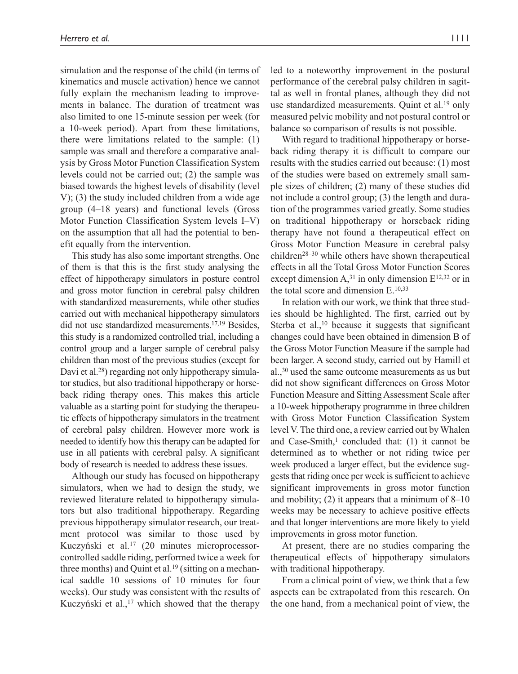simulation and the response of the child (in terms of kinematics and muscle activation) hence we cannot fully explain the mechanism leading to improvements in balance. The duration of treatment was also limited to one 15-minute session per week (for a 10-week period). Apart from these limitations, there were limitations related to the sample: (1) sample was small and therefore a comparative analysis by Gross Motor Function Classification System levels could not be carried out; (2) the sample was biased towards the highest levels of disability (level V); (3) the study included children from a wide age group (4–18 years) and functional levels (Gross Motor Function Classification System levels I–V) on the assumption that all had the potential to benefit equally from the intervention.

This study has also some important strengths. One of them is that this is the first study analysing the effect of hippotherapy simulators in posture control and gross motor function in cerebral palsy children with standardized measurements, while other studies carried out with mechanical hippotherapy simulators did not use standardized measurements.17,19 Besides, this study is a randomized controlled trial, including a control group and a larger sample of cerebral palsy children than most of the previous studies (except for Davi et al.<sup>28</sup>) regarding not only hippotherapy simulator studies, but also traditional hippotherapy or horseback riding therapy ones. This makes this article valuable as a starting point for studying the therapeutic effects of hippotherapy simulators in the treatment of cerebral palsy children. However more work is needed to identify how this therapy can be adapted for use in all patients with cerebral palsy. A significant body of research is needed to address these issues.

Although our study has focused on hippotherapy simulators, when we had to design the study, we reviewed literature related to hippotherapy simulators but also traditional hippotherapy. Regarding previous hippotherapy simulator research, our treatment protocol was similar to those used by Kuczyński et al.17 (20 minutes microprocessorcontrolled saddle riding, performed twice a week for three months) and Quint et al.19 (sitting on a mechanical saddle 10 sessions of 10 minutes for four weeks). Our study was consistent with the results of Kuczyński et al.,  $17$  which showed that the therapy led to a noteworthy improvement in the postural performance of the cerebral palsy children in sagittal as well in frontal planes, although they did not use standardized measurements. Quint et al.19 only measured pelvic mobility and not postural control or balance so comparison of results is not possible.

With regard to traditional hippotherapy or horseback riding therapy it is difficult to compare our results with the studies carried out because: (1) most of the studies were based on extremely small sample sizes of children; (2) many of these studies did not include a control group; (3) the length and duration of the programmes varied greatly. Some studies on traditional hippotherapy or horseback riding therapy have not found a therapeutical effect on Gross Motor Function Measure in cerebral palsy children28–30 while others have shown therapeutical effects in all the Total Gross Motor Function Scores except dimension  $A<sub>1</sub><sup>31</sup>$  in only dimension  $E<sub>12,32</sub>$  or in the total score and dimension E.10,33

In relation with our work, we think that three studies should be highlighted. The first, carried out by Sterba et al.,10 because it suggests that significant changes could have been obtained in dimension B of the Gross Motor Function Measure if the sample had been larger. A second study, carried out by Hamill et al.,30 used the same outcome measurements as us but did not show significant differences on Gross Motor Function Measure and Sitting Assessment Scale after a 10-week hippotherapy programme in three children with Gross Motor Function Classification System level V. The third one, a review carried out by Whalen and Case-Smith, $1$  concluded that: (1) it cannot be determined as to whether or not riding twice per week produced a larger effect, but the evidence suggests that riding once per week is sufficient to achieve significant improvements in gross motor function and mobility;  $(2)$  it appears that a minimum of 8–10 weeks may be necessary to achieve positive effects and that longer interventions are more likely to yield improvements in gross motor function.

At present, there are no studies comparing the therapeutical effects of hippotherapy simulators with traditional hippotherapy.

From a clinical point of view, we think that a few aspects can be extrapolated from this research. On the one hand, from a mechanical point of view, the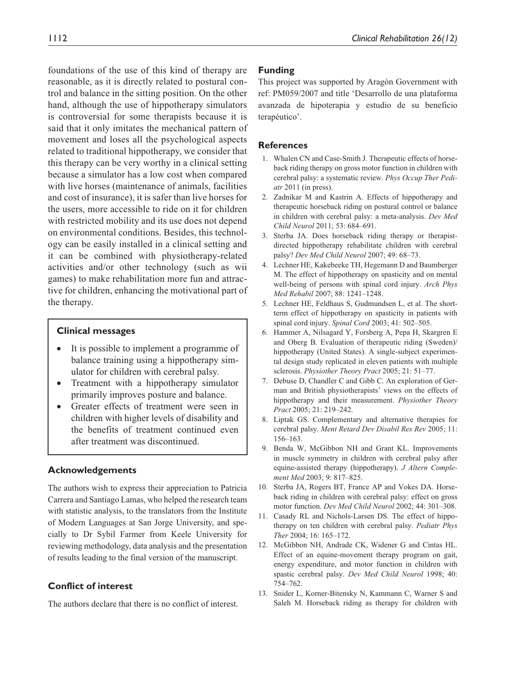foundations of the use of this kind of therapy are reasonable, as it is directly related to postural control and balance in the sitting position. On the other hand, although the use of hippotherapy simulators is controversial for some therapists because it is said that it only imitates the mechanical pattern of movement and loses all the psychological aspects related to traditional hippotherapy, we consider that this therapy can be very worthy in a clinical setting because a simulator has a low cost when compared with live horses (maintenance of animals, facilities and cost of insurance), it is safer than live horses for the users, more accessible to ride on it for children with restricted mobility and its use does not depend on environmental conditions. Besides, this technology can be easily installed in a clinical setting and it can be combined with physiotherapy-related activities and/or other technology (such as wii games) to make rehabilitation more fun and attractive for children, enhancing the motivational part of the therapy.

## **Clinical messages**

- It is possible to implement a programme of balance training using a hippotherapy simulator for children with cerebral palsy.
- Treatment with a hippotherapy simulator primarily improves posture and balance.
- Greater effects of treatment were seen in children with higher levels of disability and the benefits of treatment continued even after treatment was discontinued.

#### **Acknowledgements**

The authors wish to express their appreciation to Patricia Carrera and Santiago Lamas, who helped the research team with statistic analysis, to the translators from the Institute of Modern Languages at San Jorge University, and specially to Dr Sybil Farmer from Keele University for reviewing methodology, data analysis and the presentation of results leading to the final version of the manuscript.

### **Conflict of interest**

The authors declare that there is no conflict of interest.

#### **Funding**

This project was supported by Aragón Government with ref: PM059/2007 and title 'Desarrollo de una plataforma avanzada de hipoterapia y estudio de su beneficio terapéutico'.

#### **References**

- 1. Whalen CN and Case-Smith J. Therapeutic effects of horseback riding therapy on gross motor function in children with cerebral palsy: a systematic review. *Phys Occup Ther Pediatr* 2011 (in press).
- 2. Zadnikar M and Kastrin A. Effects of hippotherapy and therapeutic horseback riding on postural control or balance in children with cerebral palsy: a meta-analysis. *Dev Med Child Neurol* 2011; 53: 684–691.
- 3. Sterba JA. Does horseback riding therapy or therapistdirected hippotherapy rehabilitate children with cerebral palsy? *Dev Med Child Neurol* 2007; 49: 68–73.
- 4. Lechner HE, Kakebeeke TH, Hegemann D and Baumberger M. The effect of hippotherapy on spasticity and on mental well-being of persons with spinal cord injury. *Arch Phys Med Rehabil* 2007; 88: 1241–1248.
- 5. Lechner HE, Feldhaus S, Gudmundsen L, et al. The shortterm effect of hippotherapy on spasticity in patients with spinal cord injury. *Spinal Cord* 2003; 41: 502–505.
- 6. Hammer A, Nilsagard Y, Forsberg A, Pepa H, Skargren E and Oberg B. Evaluation of therapeutic riding (Sweden)/ hippotherapy (United States). A single-subject experimental design study replicated in eleven patients with multiple sclerosis. *Physiother Theory Pract* 2005; 21: 51–77.
- 7. Debuse D, Chandler C and Gibb C. An exploration of German and British physiotherapists' views on the effects of hippotherapy and their measurement. *Physiother Theory Pract* 2005; 21: 219–242.
- 8. Liptak GS. Complementary and alternative therapies for cerebral palsy. *Ment Retard Dev Disabil Res Rev* 2005; 11: 156–163.
- 9. Benda W, McGibbon NH and Grant KL. Improvements in muscle symmetry in children with cerebral palsy after equine-assisted therapy (hippotherapy). *J Altern Complement Med* 2003; 9: 817–825.
- 10. Sterba JA, Rogers BT, France AP and Vokes DA. Horseback riding in children with cerebral palsy: effect on gross motor function. *Dev Med Child Neurol* 2002; 44: 301–308.
- 11. Casady RL and Nichols-Larsen DS. The effect of hippotherapy on ten children with cerebral palsy. *Pediatr Phys Ther* 2004; 16: 165–172.
- 12. McGibbon NH, Andrade CK, Widener G and Cintas HL. Effect of an equine-movement therapy program on gait, energy expenditure, and motor function in children with spastic cerebral palsy. *Dev Med Child Neurol* 1998; 40: 754–762.
- 13. Snider L, Korner-Bitensky N, Kammann C, Warner S and Saleh M. Horseback riding as therapy for children with